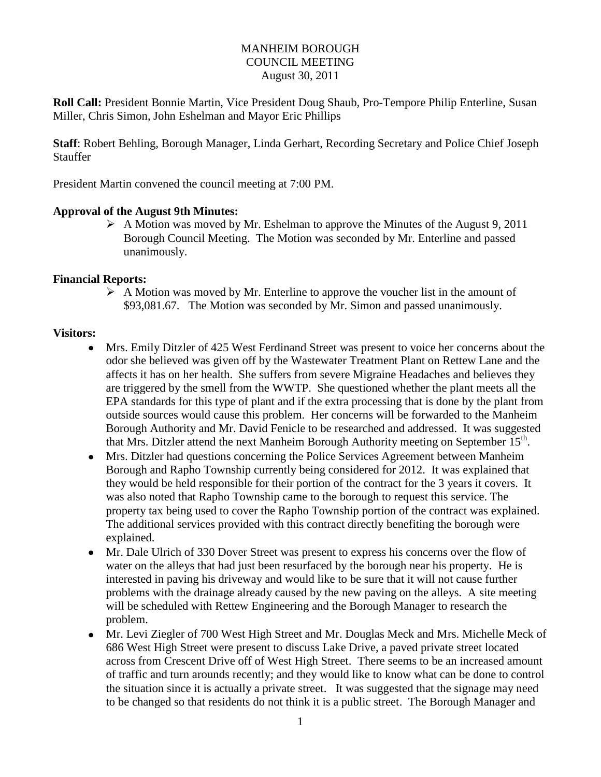## MANHEIM BOROUGH COUNCIL MEETING August 30, 2011

**Roll Call:** President Bonnie Martin, Vice President Doug Shaub, Pro-Tempore Philip Enterline, Susan Miller, Chris Simon, John Eshelman and Mayor Eric Phillips

**Staff**: Robert Behling, Borough Manager, Linda Gerhart, Recording Secretary and Police Chief Joseph Stauffer

President Martin convened the council meeting at 7:00 PM.

#### **Approval of the August 9th Minutes:**

 $\triangleright$  A Motion was moved by Mr. Eshelman to approve the Minutes of the August 9, 2011 Borough Council Meeting. The Motion was seconded by Mr. Enterline and passed unanimously.

#### **Financial Reports:**

 $\triangleright$  A Motion was moved by Mr. Enterline to approve the voucher list in the amount of \$93,081.67. The Motion was seconded by Mr. Simon and passed unanimously.

#### **Visitors:**

- Mrs. Emily Ditzler of 425 West Ferdinand Street was present to voice her concerns about the odor she believed was given off by the Wastewater Treatment Plant on Rettew Lane and the affects it has on her health. She suffers from severe Migraine Headaches and believes they are triggered by the smell from the WWTP. She questioned whether the plant meets all the EPA standards for this type of plant and if the extra processing that is done by the plant from outside sources would cause this problem. Her concerns will be forwarded to the Manheim Borough Authority and Mr. David Fenicle to be researched and addressed. It was suggested that Mrs. Ditzler attend the next Manheim Borough Authority meeting on September 15<sup>th</sup>.
- Mrs. Ditzler had questions concerning the Police Services Agreement between Manheim Borough and Rapho Township currently being considered for 2012. It was explained that they would be held responsible for their portion of the contract for the 3 years it covers. It was also noted that Rapho Township came to the borough to request this service. The property tax being used to cover the Rapho Township portion of the contract was explained. The additional services provided with this contract directly benefiting the borough were explained.
- Mr. Dale Ulrich of 330 Dover Street was present to express his concerns over the flow of water on the alleys that had just been resurfaced by the borough near his property. He is interested in paving his driveway and would like to be sure that it will not cause further problems with the drainage already caused by the new paving on the alleys. A site meeting will be scheduled with Rettew Engineering and the Borough Manager to research the problem.
- Mr. Levi Ziegler of 700 West High Street and Mr. Douglas Meck and Mrs. Michelle Meck of 686 West High Street were present to discuss Lake Drive, a paved private street located across from Crescent Drive off of West High Street. There seems to be an increased amount of traffic and turn arounds recently; and they would like to know what can be done to control the situation since it is actually a private street. It was suggested that the signage may need to be changed so that residents do not think it is a public street. The Borough Manager and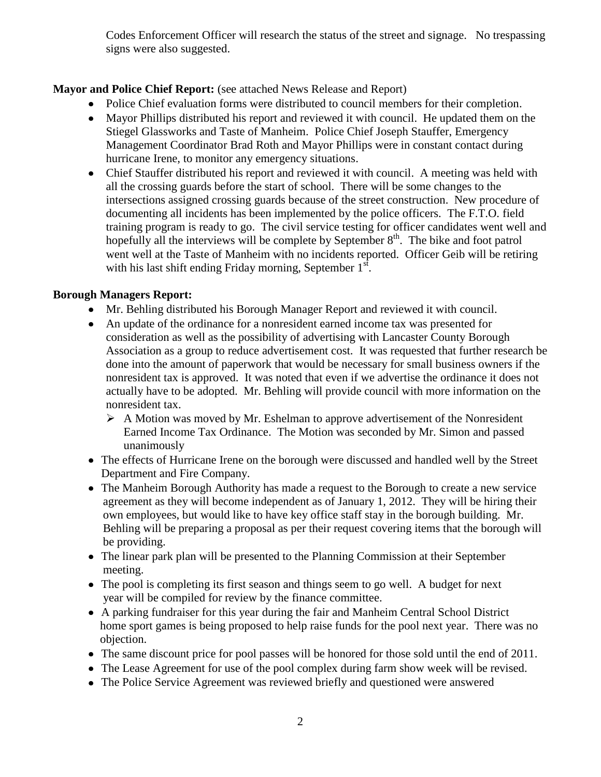Codes Enforcement Officer will research the status of the street and signage. No trespassing signs were also suggested.

# **Mayor and Police Chief Report:** (see attached News Release and Report)

- Police Chief evaluation forms were distributed to council members for their completion.
- Mayor Phillips distributed his report and reviewed it with council. He updated them on the Stiegel Glassworks and Taste of Manheim. Police Chief Joseph Stauffer, Emergency Management Coordinator Brad Roth and Mayor Phillips were in constant contact during hurricane Irene, to monitor any emergency situations.
- Chief Stauffer distributed his report and reviewed it with council. A meeting was held with all the crossing guards before the start of school. There will be some changes to the intersections assigned crossing guards because of the street construction. New procedure of documenting all incidents has been implemented by the police officers. The F.T.O. field training program is ready to go. The civil service testing for officer candidates went well and hopefully all the interviews will be complete by September  $8<sup>th</sup>$ . The bike and foot patrol went well at the Taste of Manheim with no incidents reported. Officer Geib will be retiring with his last shift ending Friday morning, September  $1<sup>st</sup>$ .

# **Borough Managers Report:**

- Mr. Behling distributed his Borough Manager Report and reviewed it with council.
- An update of the ordinance for a nonresident earned income tax was presented for consideration as well as the possibility of advertising with Lancaster County Borough Association as a group to reduce advertisement cost. It was requested that further research be done into the amount of paperwork that would be necessary for small business owners if the nonresident tax is approved. It was noted that even if we advertise the ordinance it does not actually have to be adopted. Mr. Behling will provide council with more information on the nonresident tax.
	- $\triangleright$  A Motion was moved by Mr. Eshelman to approve advertisement of the Nonresident Earned Income Tax Ordinance. The Motion was seconded by Mr. Simon and passed unanimously
- The effects of Hurricane Irene on the borough were discussed and handled well by the Street Department and Fire Company.
- The Manheim Borough Authority has made a request to the Borough to create a new service agreement as they will become independent as of January 1, 2012. They will be hiring their own employees, but would like to have key office staff stay in the borough building. Mr. Behling will be preparing a proposal as per their request covering items that the borough will be providing.
- The linear park plan will be presented to the Planning Commission at their September meeting.
- The pool is completing its first season and things seem to go well. A budget for next year will be compiled for review by the finance committee.
- A parking fundraiser for this year during the fair and Manheim Central School District home sport games is being proposed to help raise funds for the pool next year. There was no objection.
- The same discount price for pool passes will be honored for those sold until the end of 2011.
- The Lease Agreement for use of the pool complex during farm show week will be revised.
- The Police Service Agreement was reviewed briefly and questioned were answered